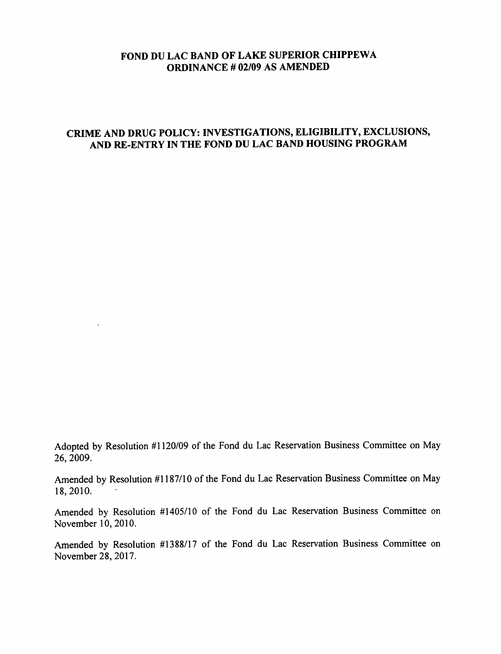## FOND DU LAC BAND OF LAKE SUPERIOR CHIPPEWA ORDINANCE # 02/09 AS AMENDED

## CRIME AND DRUG POLICY: INVESTIGATIONS, ELIGIBILITY, EXCLUSIONS, AND RE-ENTRY IN THE FOND DU LAC BAND HOUSING PROGRAM

Adopted by Resolution #1120/09 of the Fond du Lac Reservation Business Committee on May 26, 2009.

 $\ddot{\phantom{a}}$ 

Amended by Resolution #1187/10 of the Fond du Lac Reservation Business Committee on May 18,2010.

Amended by Resolution #1405/10 of the Fond du Lac Reservation Business Committee on November 10, 2010.

Amended by Resolution #1388/17 of the Fond du Lac Reservation Business Committee on November 28, 2017.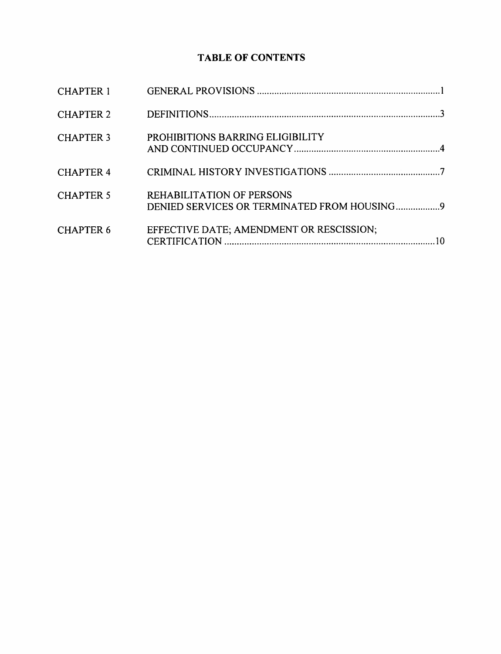## TABLE OF CONTENTS

| <b>CHAPTER 1</b> |                                                                          |  |
|------------------|--------------------------------------------------------------------------|--|
| <b>CHAPTER 2</b> |                                                                          |  |
| <b>CHAPTER 3</b> | PROHIBITIONS BARRING ELIGIBILITY                                         |  |
| <b>CHAPTER 4</b> |                                                                          |  |
| <b>CHAPTER 5</b> | REHABILITATION OF PERSONS<br>DENIED SERVICES OR TERMINATED FROM HOUSING9 |  |
| <b>CHAPTER 6</b> | EFFECTIVE DATE; AMENDMENT OR RESCISSION;                                 |  |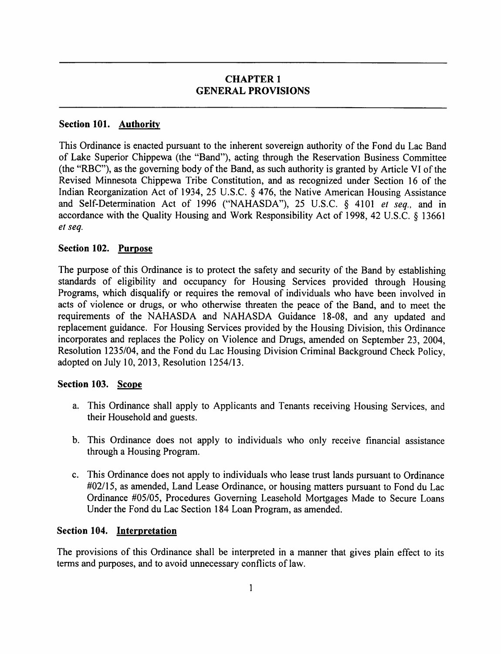## CHAPTER 1 GENERAL PROVISIONS

## Section 101. **Authority**

This Ordinance is enacted pursuant to the inherent sovereign authority of the Fond du Lac Band of Lake Superior Chippewa (the "Band"), acting through the Reservation Business Committee (the "RBC"), as the governing body of the Band, as such authority is granted by Article VI of the Revised Minnesota Chippewa Tribe Constitution, and as recognized under Section 16 of the Indian Reorganization Act of 1934, 25 U.S.C. § 476, the Native American Housing Assistance and Self-Determination Act of 1996 ("NAHASDA"), 25 U.S.C. § 4101 et seq., and in accordance with the Quality Housing and Work Responsibility Act of 1998, 42 U.S.C. § 13661 et seq.

#### Section 102. Purpose

The purpose of this Ordinance is to protect the safety and security of the Band by establishing standards of eligibility and occupancy for Housing Services provided through Housing Programs, which disqualify or requires the removal of individuals who have been involved in acts of violence or drugs, or who otherwise threaten the peace of the Band, and to meet the requirements of the NAHASDA and NAHASDA Guidance 18-08, and any updated and replacement guidance. For Housing Services provided by the Housing Division, this Ordinance incorporates and replaces the Policy on Violence and Drugs, amended on September 23, 2004, Resolution 1235/04, and the Fond du Lac Housing Division Criminal Background Check Policy, adopted on July 10, 2013, Resolution 1254/13.

#### Section 103. Scope

- a. This Ordinance shall apply to Applicants and Tenants receiving Housing Services, and their Household and guests.
- b. This Ordinance does not apply to individuals who only receive financial assistance through a Housing Program.
- c. This Ordinance does not apply to individuals who lease trust lands pursuant to Ordinance #02/15, as amended. Land Lease Ordinance, or housing matters pursuant to Fond du Lac Ordinance #05/05, Procedures Governing Leasehold Mortgages Made to Secure Loans Under the Fond du Lac Section 184 Loan Program, as amended.

#### Section 104. Interpretation

The provisions of this Ordinance shall be interpreted in a manner that gives plain effect to its terms and purposes, and to avoid unnecessary conflicts of law.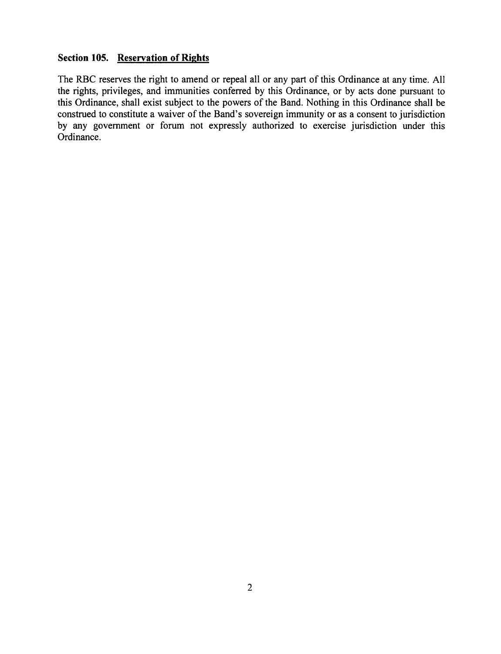## Section 105. Reservation of Rights

The RBC reserves the right to amend or repeal all or any part of this Ordinance at any time. All the rights, privileges, and immunities conferred by this Ordinance, or by acts done pursuant to this Ordinance, shall exist subject to the powers of the Band. Nothing in this Ordinance shall be construed to constitute a waiver of the Band's sovereign immunity or as a consent to jurisdiction by any govemment or forum not expressly authorized to exercise jurisdiction under this Ordinance.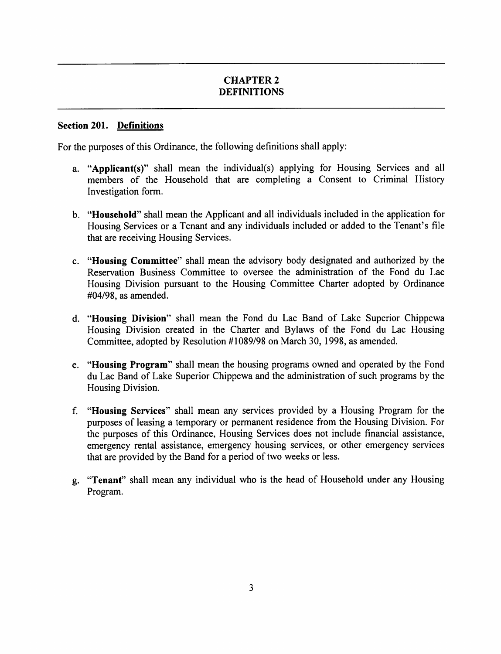## CHAPTER 2 DEFINITIONS

#### Section 201. Definitions

For the purposes of this Ordinance, the following definitions shall apply:

- a. "Applicant(s)" shall mean the individual(s) applying for Housing Services and all members of the Household that are completing a Consent to Criminal History Investigation form.
- b. "Household" shall mean the Applicant and all individuals included in the application for Housing Services or a Tenant and any individuals included or added to the Tenant's file that are receiving Housing Services.
- c. "Housing Committee" shall mean the advisory body designated and authorized by the Reservation Business Committee to oversee the administration of the Fond du Lac Housing Division pursuant to the Housing Committee Charter adopted by Ordinance #04/98, as amended.
- d. "Housing Division" shall mean the Fond du Lac Band of Lake Superior Chippewa Housing Division created in the Charter and Bylaws of the Fond du Lac Housing Committee, adopted by Resolution #1089/98 on March 30, 1998, as amended.
- e. "Housing Program" shall mean the housing programs owned and operated by the Fond du Lac Band of Lake Superior Chippewa and the administration of such programs by the Housing Division.
- f. "Housing Services" shall mean any services provided by a Housing Program for the purposes of leasing a temporary or permanent residence from the Housing Division. For the purposes of this Ordinance, Housing Services does not include financial assistance, emergency rental assistance, emergency housing services, or other emergency services that are provided by the Band for a period of two weeks or less.
- g. "Tenant" shall mean any individual who is the head of Household under any Housing Program.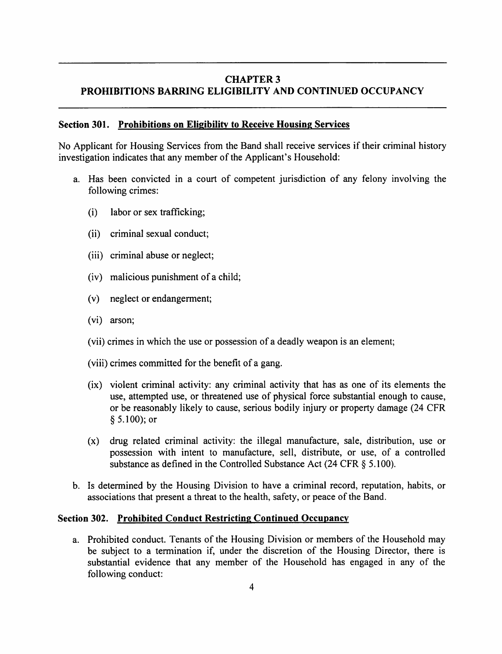### CHAPTER 3 PROHIBITIONS BARRING ELIGIBILITY AND CONTINUED OCCUPANCY

#### Section 301. Prohibitions on Eligibility to Receive Housing Services

No Applicant for Housing Services from the Band shall receive services if their criminal history investigation indicates that any member of the Applicant's Household:

- a. Has been convicted in a court of competent jurisdiction of any felony involving the following crimes:
	- (i) labor or sex trafficking;
	- (ii) criminal sexual conduct;
	- (iii) criminal abuse or neglect;
	- (iv) malicious punishment of a child;
	- (v) neglect or endangerment;
	- (vi) arson;
	- (vii) crimes in which the use or possession of a deadly weapon is an element;
	- (viii) crimes committed for the benefit of a gang.
	- (ix) violent criminal activity: any criminal activity that has as one of its elements the use, attempted use, or threatened use of physical force substantial enough to cause, or be reasonably likely to cause, serious bodily injury or property damage (24 CFR §5.100); or
	- (x) drug related criminal activity: the illegal manufacture, sale, distribution, use or possession with intent to manufacture, sell, distribute, or use, of a controlled substance as defined in the Controlled Substance Act (24 CFR § 5.100).
- b. Is determined by the Housing Division to have a criminal record, reputation, habits, or associations that present a threat to the health, safety, or peace of the Band.

#### Section 302. Prohibited Conduct Restricting Continued Occupancy

a. Prohibited conduct. Tenants of the Housing Division or members of the Household may be subject to a termination if, under the discretion of the Housing Director, there is substantial evidence that any member of the Household has engaged in any of the following conduct: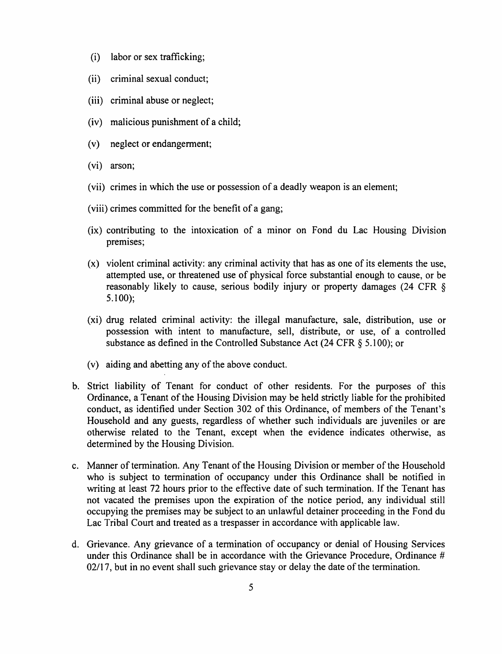- (i) labor or sex trafficking;
- (ii) criminal sexual conduct;
- (iii) criminal abuse or neglect;
- (iv) malicious punishment of a child;
- (v) neglect or endangerment;
- (vi) arson;
- (vii) crimes in which the use or possession of a deadly weapon is an element;
- (viii) crimes committed for the benefit of a gang;
- (ix) contributing to the intoxication of a minor on Fond du Lac Housing Division premises;
- (x) violent criminal activity: any criminal activity that has as one of its elements the use, attempted use, or threatened use of physical force substantial enough to cause, or be reasonably likely to cause, serious bodily injury or property damages (24 CFR § 5.100);
- (xi) drug related criminal activity: the illegal manufacture, sale, distribution, use or possession with intent to manufacture, sell, distribute, or use, of a controlled substance as defined in the Controlled Substance Act (24 CFR § 5.100); or
- $(v)$  aiding and abetting any of the above conduct.
- Strict liability of Tenant for conduct of other residents. For the purposes of this Ordinance, a Tenant of the Housing Division may be held strictly liable for the prohibited conduct, as identified under Section 302 of this Ordinance, of members of the Tenant's Household and any guests, regardless of whether such individuals are juveniles or are otherwise related to the Tenant, except when the evidence indicates otherwise, as determined by the Housing Division.
- c. Manner of termination. Any Tenant of the Housing Division or member of the Household who is subject to termination of occupancy under this Ordinance shall be notified in writing at least 72 hours prior to the effective date of such termination. If the Tenant has not vacated the premises upon the expiration of the notice period, any individual still occupying the premises may be subject to an unlawful detainer proceeding in the Fond du Lac Tribal Court and treated as a trespasser in accordance with applicable law.
- Grievance. Any grievance of a termination of occupancy or denial of Housing Services under this Ordinance shall be in accordance with the Grievance Procedure, Ordinance #  $02/17$ , but in no event shall such grievance stay or delay the date of the termination.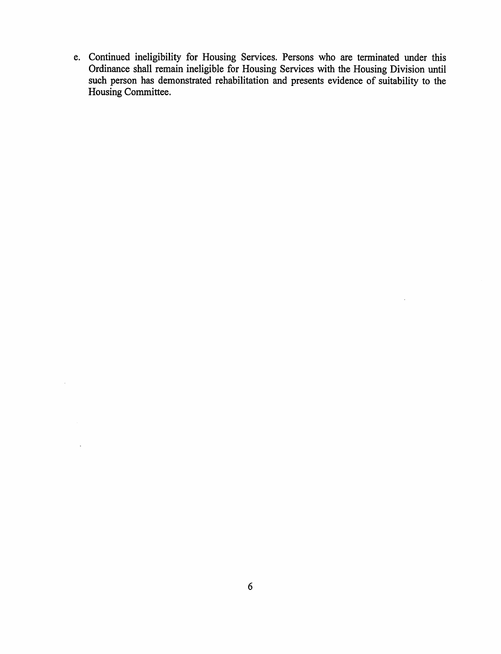e. Continued ineligibility for Housing Services. Persons who are terminated under this Ordinance shall remain ineligible for Housing Services with the Housing Division until such person has demonstrated rehabilitation and presents evidence of suitability to the Housing Committee.

 $\sim$ 

 $\sim$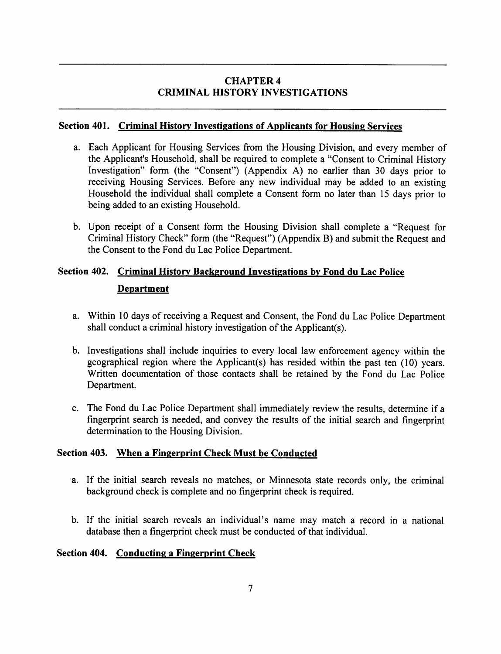## CHAPTER 4 CRIMINAL HISTORY INVESTIGATIONS

### Section 401. Criminal History Investigations of Applicants for Housing Services

- a. Each Applicant for Housing Services from the Housing Division, and every member of the Applicant's Household, shall be required to complete a "Consent to Criminal History Investigation" form (the "Consent") (Appendix A) no earlier than 30 days prior to receiving Housing Services. Before any new individual may be added to an existing Household the individual shall complete a Consent form no later than 15 days prior to being added to an existing Household.
- b. Upon receipt of a Consent form the Housing Division shall complete a "Request for Criminal History Check" form (the "Request") (Appendix B) and submit the Request and the Consent to the Fond du Lac Police Department.

# Section 402. Criminal History Background Investigations by Fond du Lac Police Department

- a. Within 10 days of receiving a Request and Consent, the Fond du Lac Police Department shall conduct a criminal history investigation of the Applicant(s).
- b. Investigations shall include inquiries to every local law enforcement agency within the geographical region where the Applicant(s) has resided within the past ten (10) years. Written documentation of those contacts shall be retained by the Fond du Lac Police Department.
- c. The Fond du Lac Police Department shall immediately review the results, determine if a fingerprint search is needed, and convey the results of the initial search and fingerprint determination to the Housing Division.

## Section 403. When a Fingerprint Check Must be Conducted

- a. If the initial search reveals no matches, or Minnesota state records only, the criminal background check is complete and no fingerprint check is required.
- b. If the initial search reveals an individual's name may match a record in a national database then a fingerprint check must be conducted of that individual.

#### Section 404. Conducting a Fingerprint Check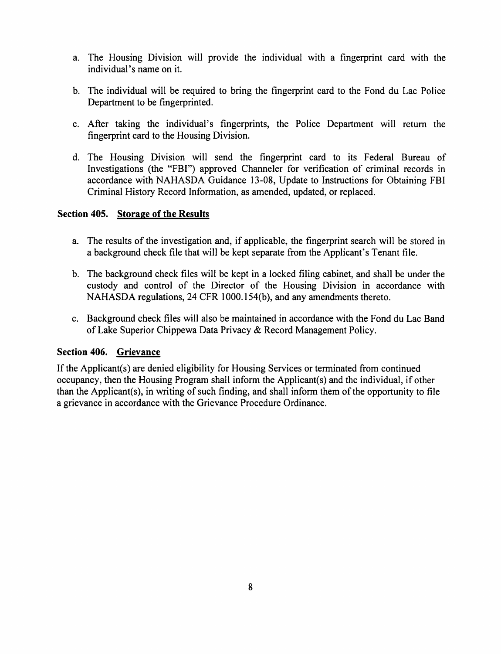- a. The Housing Division will provide the individual with a fingerprint card with the individual's name on it.
- b. The individual will be required to bring the fingerprint card to the Fond du Lac Police Department to be fingerprinted.
- c. After taking the individual's fingerprints, the Police Department will return the fingerprint card to the Housing Division.
- d. The Housing Division will send the fingerprint card to its Federal Bureau of Investigations (the "FBI") approved Channeler for verification of criminal records in accordance with NAHASDA Guidance 13-08, Update to Instructions for Obtaining FBI Criminal History Record Information, as amended, updated, or replaced.

## Section 405. Storage of the Results

- a. The results of the investigation and, if applicable, the fingerprint search will be stored in a background check file that will be kept separate from the Applicant's Tenant file.
- b. The background check files will be kept in a locked filing cabinet, and shall be under the custody and control of the Director of the Housing Division in accordance with NAHASDA regulations, 24 CFR 1000.154(b), and any amendments thereto.
- c. Background check files will also be maintained in accordance with the Fond du Lac Band of Lake Superior Chippewa Data Privacy & Record Management Policy.

## Section 406. Grievance

If the Applicant(s) are denied eligibility for Housing Services or terminated from continued occupancy, then the Housing Program shall inform the Applicant(s) and the individual, if other than the Applicant(s), in writing of such finding, and shall inform them of the opportunity to file a grievance in accordance with the Grievance Procedure Ordinance.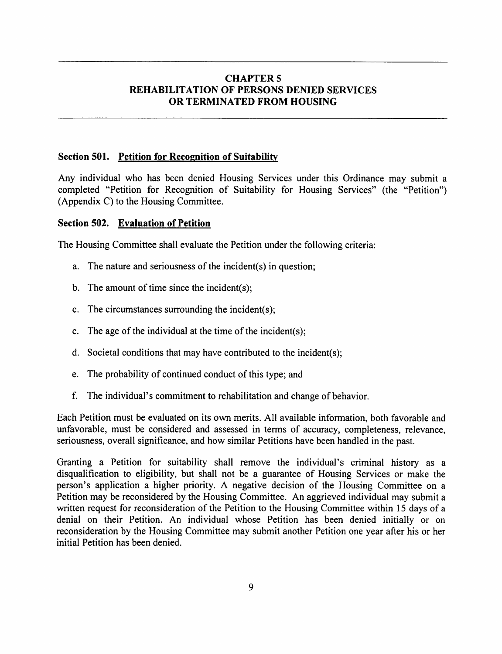## CHAPTER 5 REHABILITATION OF PERSONS DENIED SERVICES OR TERMINATED FROM HOUSING

#### Section 501. Petition for Recognition of Suitability

Any individual who has been denied Housing Services under this Ordinance may submit a completed "Petition for Recognition of Suitability for Housing Services" (the "Petition") (Appendix C) to the Housing Committee.

#### Section 502. Evaluation of Petition

The Housing Committee shall evaluate the Petition under the following criteria:

- a. The nature and seriousness of the incident(s) in question;
- b. The amount of time since the incident $(s)$ ;
- c. The circumstances surrounding the incident(s);
- c. The age of the individual at the time of the incident(s);
- d. Societal conditions that may have contributed to the incident(s);
- e. The probability of continued conduct of this type; and
- f. The individual's commitment to rehabilitation and change of behavior.

Each Petition must be evaluated on its own merits. All available information, both favorable and unfavorable, must be considered and assessed in terms of accuracy, completeness, relevance, seriousness, overall significance, and how similar Petitions have been handled in the past.

Granting a Petition for suitability shall remove the individual's criminal history as a disqualification to eligibility, but shall not be a guarantee of Housing Services or make the person's application a higher priority. A negative decision of the Housing Committee on a Petition may be reconsidered by the Housing Committee. An aggrieved individual may submit a written request for reconsideration of the Petition to the Housing Committee within 15 days of a denial on their Petition. An individual whose Petition has been denied initially or on reconsideration by the Housing Committee may submit another Petition one year after his or her initial Petition has been denied.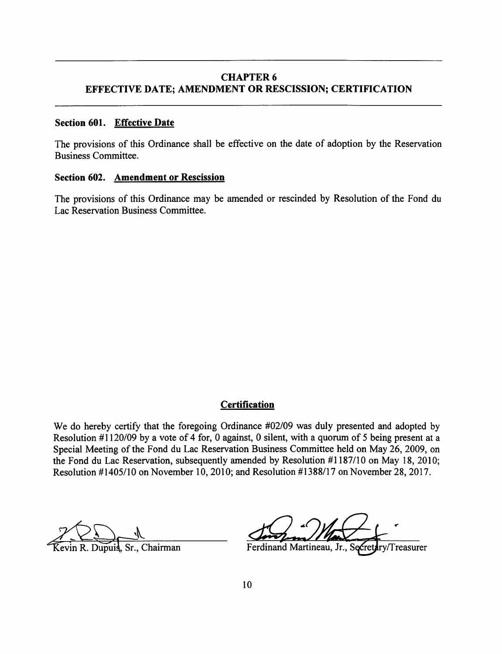### CHAPTER 6 EFFECTIVE DATE; AMENDMENT OR RESCISSION; CERTIFICATION

#### Section 601. Effective Date

The provisions of this Ordinance shall be effective on the date of adoption by the Reservation Business Committee.

#### Section 602. Amendment or Rescission

The provisions of this Ordinance may be amended or rescinded by Resolution of the Fond du Lac Reservation Business Committee.

#### **Certification**

We do hereby certify that the foregoing Ordinance #02/09 was duly presented and adopted by Resolution #1120/09 by a vote of 4 for, 0 against, 0 silent, with a quorum of 5 being present at a Special Meeting of the Fond du Lac Reservation Business Committee held on May 26, 2009, on the Fond du Lac Reservation, subsequently amended by Resolution #1187/10 on May 18, 2010; Resolution #1405/10 on November 10,2010; and Resolution #1388/17 on November 28, 2017.

evin R. Dupuis, Sr., Chairman Ferdinand Martineau, Jr., Se Cretary/Treasurer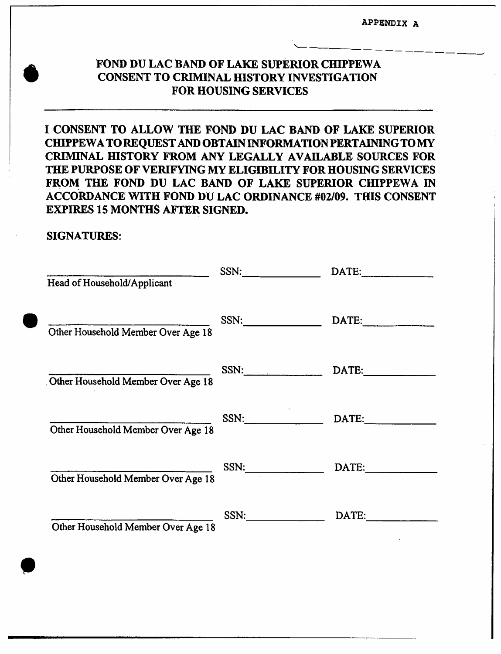appendix <sup>a</sup>

# FOND DU LAC BAND OF LAKE SUPERIOR CHIPPEWA CONSENT TO CRIMINAL fflSTORY INVESTIGATION FOR HOUSING SERVICES

I CONSENT TO ALLOW THE FOND DU LAC BAND OF LAKE SUPERIOR CHIPPEWATOREQUEST AND OBTAIN INFORMATIONPERTAININGTOMY CRIMINAL HISTORY FROM ANY LEGALLY AVAILABLE SOURCES FOR THE PURPOSE OF VERIFYING MY ELIGIBILITY FOR HOUSING SERVICES FROM THE FOND DU LAC BAND OF LAKE SUPERIOR CHIPPEWA IN ACCORDANCE WITH FOND DU LAC ORDINANCE #02/09. THIS CONSENT EXPIRES 15 MONTHS AFTER SIGNED.

## SIGNATURES:

| Head of Household/Applicant        | SSN:       | $\text{DATE:}\qquad \qquad \overbrace{\qquad \qquad \qquad \qquad \qquad }$ |
|------------------------------------|------------|-----------------------------------------------------------------------------|
| Other Household Member Over Age 18 | SSN:       | $\text{DATE:}$                                                              |
| Other Household Member Over Age 18 | SSN:       | $\textbf{DATE:}\_\_\_\$                                                     |
| Other Household Member Over Age 18 | SSN: DATE: |                                                                             |
| Other Household Member Over Age 18 | SSN:       | DATE:                                                                       |
| Other Household Member Over Age 18 | SSN:       | DATE:                                                                       |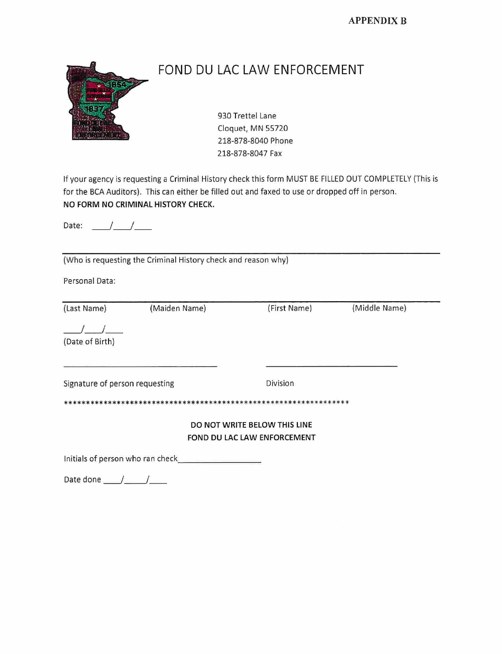APPENDIX B



# FOND DU LAC LAW ENFORCEMENT

930 Trettei Lane Cioquet, MN 55720 218-878-8040 Phone 218-878-8047 Fax

Ifyour agency is requesting a Criminal History check this form MUST BE FILLED OUT COMPLETELY (This is for the BCA Auditors). This can either be filled out and faxed to use or dropped off in person. NO FORM NO CRIMINAL HISTORY CHECK.

Date:  $\frac{1}{\sqrt{1-\frac{1}{2}}}$ 

(Who is requesting the Criminal History check and reason why)

Personal Data:

| (Last Name)                    | (Maiden Name) | (First Name)                                                | (Middle Name) |
|--------------------------------|---------------|-------------------------------------------------------------|---------------|
| (Date of Birth)                |               |                                                             |               |
| Signature of person requesting |               | Division                                                    |               |
|                                |               | DO NOT WRITE BELOW THIS LINE<br>FOND DU LAC LAW ENFORCEMENT |               |

Initials of person who ran check

Date done  $\frac{1}{\sqrt{2}}$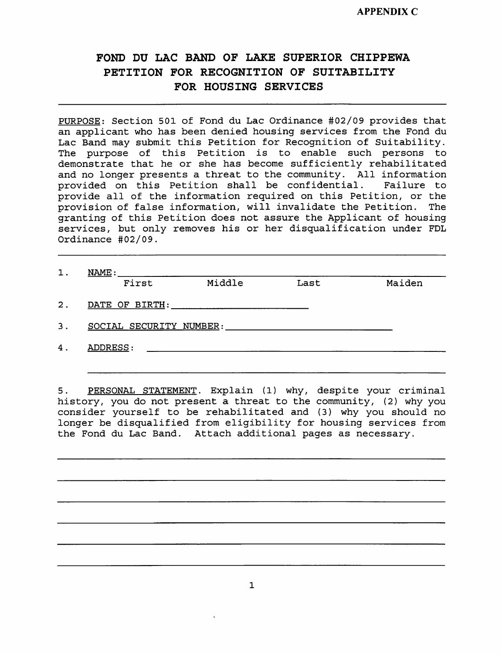# FOND DU LAC BAND OF LAKE SUPERIOR CHIPPEWA PETITION FOR RECOGNITION OF SUITABILITY FOR HOUSING SERVICES

PURPOSE: Section 501 of Fond du Lac Ordinance #02/09 provides that an applicant who has been denied housing services from the Fond du Lac Band may submit this Petition for Recognition of Suitability. The purpose of this Petition is to enable such persons to demonstrate that he or she has become sufficiently rehabilitated and no longer presents a threat to the community. All information provided on this Petition shall be confidential. Failure to provided on this Petition shall be confidential. provide all of the information required on this Petition, or the provision of false information, will invalidate the Petition. The granting of this Petition does not assure the Applicant of housing services, but only removes his or her disqualification under FDL Ordinance #02/09.

| First                   | Middle | Last | Maiden |
|-------------------------|--------|------|--------|
| DATE OF BIRTH:          |        |      |        |
| SOCIAL SECURITY NUMBER: |        |      |        |
| ADDRESS:                |        |      |        |

5. PERSONAL STATEMENT. Explain (1) why, despite your criminal history, you do not present <sup>a</sup> threat to the community, (2) why you consider yourself to be rehabilitated and (3) why you should no longer be disqualified from eligibility for housing services from the Fond du Lac Band. Attach additional pages as necessary.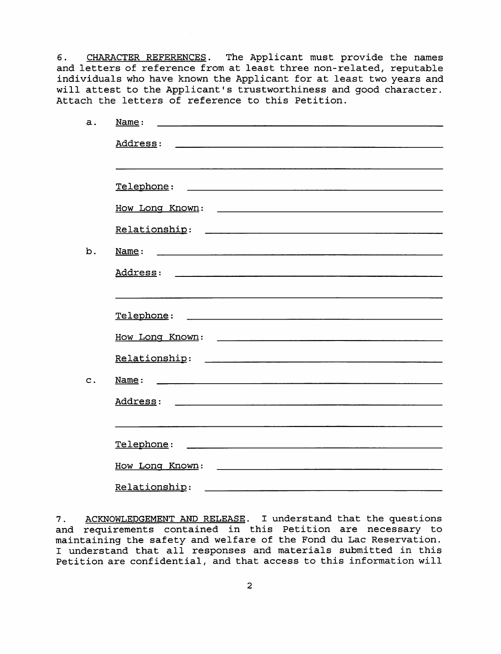6. CHARACTER REFERENCES. The Applicant must provide the names and letters of reference from at least three non-related, reputable individuals who have known the Applicant for at least two years and will attest to the Applicant's trustworthiness and good character. Attach the letters of reference to this Petition.

| a.            | <u>Name</u> :<br><u> 1980 - Januar Maria Barat, martin amerikan dan berasal dalam pengaran dalam pengaran dalam pengaran dalam pen</u> |
|---------------|----------------------------------------------------------------------------------------------------------------------------------------|
|               |                                                                                                                                        |
|               |                                                                                                                                        |
|               |                                                                                                                                        |
|               |                                                                                                                                        |
|               |                                                                                                                                        |
| b.            |                                                                                                                                        |
|               |                                                                                                                                        |
|               |                                                                                                                                        |
|               |                                                                                                                                        |
|               |                                                                                                                                        |
|               |                                                                                                                                        |
| $\mathbf C$ . |                                                                                                                                        |
|               |                                                                                                                                        |
|               |                                                                                                                                        |
|               |                                                                                                                                        |
|               |                                                                                                                                        |
|               | Relationship:                                                                                                                          |

7. ACKNOWLEDGEMENT AND RELEASE. I understand that the questions and requirements contained in this Petition are necessary to maintaining the safety and welfare of the Fond du Lac Reservation. <sup>I</sup> understand that all responses and materials submitted in this Petition are confidential, and that access to this information will